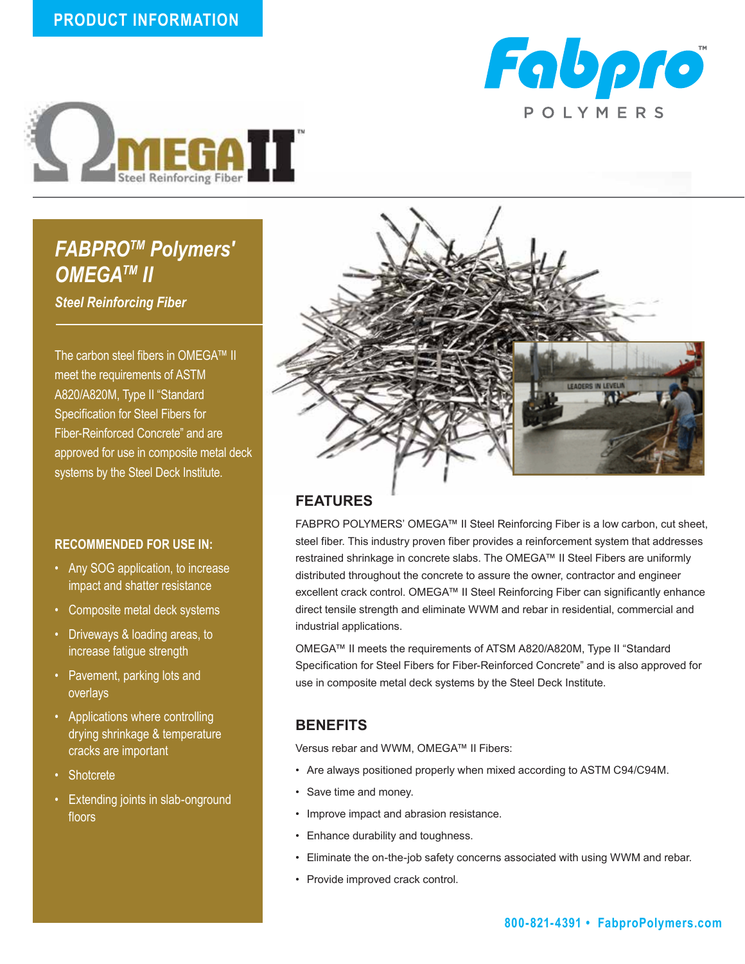



# *FABPROTM Polymers' OMEGATM II*

*Steel Reinforcing Fiber*

The carbon steel fibers in OMEGA™ II meet the requirements of ASTM A820/A820M, Type II "Standard Specification for Steel Fibers for Fiber-Reinforced Concrete" and are approved for use in composite metal deck systems by the Steel Deck Institute.

#### **RECOMMENDED FOR USE IN:**

- Any SOG application, to increase impact and shatter resistance
- Composite metal deck systems
- Driveways & loading areas, to increase fatigue strength
- Pavement, parking lots and overlays
- Applications where controlling drying shrinkage & temperature cracks are important
- Shotcrete
- Extending joints in slab-onground floors



## **FEATURES**

FABPRO POLYMERS' OMEGA™ II Steel Reinforcing Fiber is a low carbon, cut sheet, steel fiber. This industry proven fiber provides a reinforcement system that addresses restrained shrinkage in concrete slabs. The OMEGA™ II Steel Fibers are uniformly distributed throughout the concrete to assure the owner, contractor and engineer excellent crack control. OMEGA™ II Steel Reinforcing Fiber can significantly enhance direct tensile strength and eliminate WWM and rebar in residential, commercial and industrial applications.

OMEGA™ II meets the requirements of ATSM A820/A820M, Type II "Standard Specification for Steel Fibers for Fiber-Reinforced Concrete" and is also approved for use in composite metal deck systems by the Steel Deck Institute.

#### **BENEFITS**

Versus rebar and WWM, OMEGA™ II Fibers:

- Are always positioned properly when mixed according to ASTM C94/C94M.
- Save time and money.
- Improve impact and abrasion resistance.
- Enhance durability and toughness.
- Eliminate the on-the-job safety concerns associated with using WWM and rebar.
- Provide improved crack control.